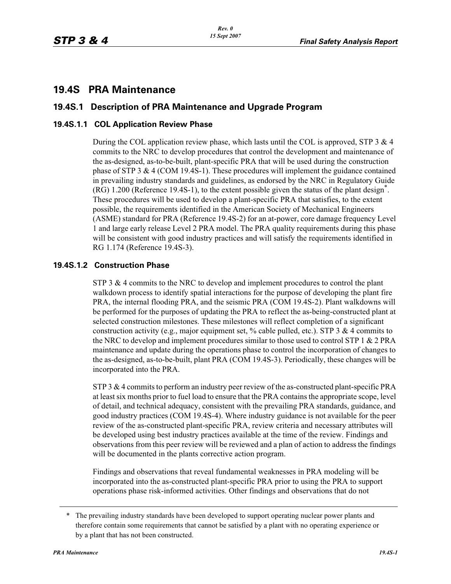# **19.4S PRA Maintenance**

# **19.4S.1 Description of PRA Maintenance and Upgrade Program**

# **19.4S.1.1 COL Application Review Phase**

During the COL application review phase, which lasts until the COL is approved, STP  $3 \& 4$ commits to the NRC to develop procedures that control the development and maintenance of the as-designed, as-to-be-built, plant-specific PRA that will be used during the construction phase of STP 3 & 4 (COM 19.4S-1). These procedures will implement the guidance contained in prevailing industry standards and guidelines, as endorsed by the NRC in Regulatory Guide (RG) 1.200 (Reference 19.4S-1), to the extent possible given the status of the plant design\* . These procedures will be used to develop a plant-specific PRA that satisfies, to the extent possible, the requirements identified in the American Society of Mechanical Engineers (ASME) standard for PRA (Reference 19.4S-2) for an at-power, core damage frequency Level 1 and large early release Level 2 PRA model. The PRA quality requirements during this phase will be consistent with good industry practices and will satisfy the requirements identified in RG 1.174 (Reference 19.4S-3).

#### **19.4S.1.2 Construction Phase**

STP 3 & 4 commits to the NRC to develop and implement procedures to control the plant walkdown process to identify spatial interactions for the purpose of developing the plant fire PRA, the internal flooding PRA, and the seismic PRA (COM 19.4S-2). Plant walkdowns will be performed for the purposes of updating the PRA to reflect the as-being-constructed plant at selected construction milestones. These milestones will reflect completion of a significant construction activity (e.g., major equipment set, % cable pulled, etc.). STP 3 & 4 commits to the NRC to develop and implement procedures similar to those used to control STP 1 & 2 PRA maintenance and update during the operations phase to control the incorporation of changes to the as-designed, as-to-be-built, plant PRA (COM 19.4S-3). Periodically, these changes will be incorporated into the PRA.

STP 3 & 4 commits to perform an industry peer review of the as-constructed plant-specific PRA at least six months prior to fuel load to ensure that the PRA contains the appropriate scope, level of detail, and technical adequacy, consistent with the prevailing PRA standards, guidance, and good industry practices (COM 19.4S-4). Where industry guidance is not available for the peer review of the as-constructed plant-specific PRA, review criteria and necessary attributes will be developed using best industry practices available at the time of the review. Findings and observations from this peer review will be reviewed and a plan of action to address the findings will be documented in the plants corrective action program.

Findings and observations that reveal fundamental weaknesses in PRA modeling will be incorporated into the as-constructed plant-specific PRA prior to using the PRA to support operations phase risk-informed activities. Other findings and observations that do not

<sup>\*</sup> The prevailing industry standards have been developed to support operating nuclear power plants and therefore contain some requirements that cannot be satisfied by a plant with no operating experience or by a plant that has not been constructed.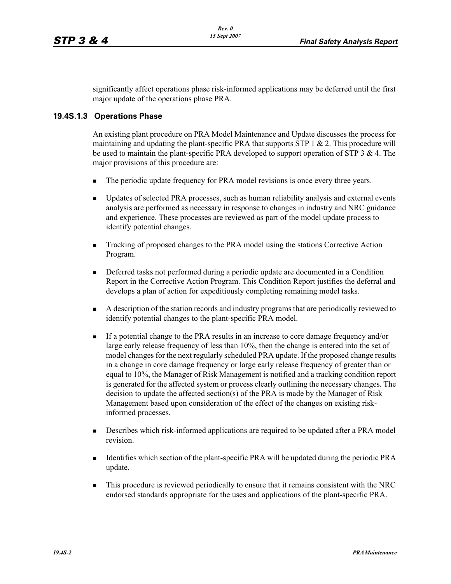significantly affect operations phase risk-informed applications may be deferred until the first major update of the operations phase PRA.

## **19.4S.1.3 Operations Phase**

An existing plant procedure on PRA Model Maintenance and Update discusses the process for maintaining and updating the plant-specific PRA that supports STP 1  $\&$  2. This procedure will be used to maintain the plant-specific PRA developed to support operation of STP 3 & 4. The major provisions of this procedure are:

- -The periodic update frequency for PRA model revisions is once every three years.
- - Updates of selected PRA processes, such as human reliability analysis and external events analysis are performed as necessary in response to changes in industry and NRC guidance and experience. These processes are reviewed as part of the model update process to identify potential changes.
- - Tracking of proposed changes to the PRA model using the stations Corrective Action Program.
- - Deferred tasks not performed during a periodic update are documented in a Condition Report in the Corrective Action Program. This Condition Report justifies the deferral and develops a plan of action for expeditiously completing remaining model tasks.
- - A description of the station records and industry programs that are periodically reviewed to identify potential changes to the plant-specific PRA model.
- - If a potential change to the PRA results in an increase to core damage frequency and/or large early release frequency of less than 10%, then the change is entered into the set of model changes for the next regularly scheduled PRA update. If the proposed change results in a change in core damage frequency or large early release frequency of greater than or equal to 10%, the Manager of Risk Management is notified and a tracking condition report is generated for the affected system or process clearly outlining the necessary changes. The decision to update the affected section(s) of the PRA is made by the Manager of Risk Management based upon consideration of the effect of the changes on existing riskinformed processes.
- - Describes which risk-informed applications are required to be updated after a PRA model revision.
- - Identifies which section of the plant-specific PRA will be updated during the periodic PRA update.
- - This procedure is reviewed periodically to ensure that it remains consistent with the NRC endorsed standards appropriate for the uses and applications of the plant-specific PRA.